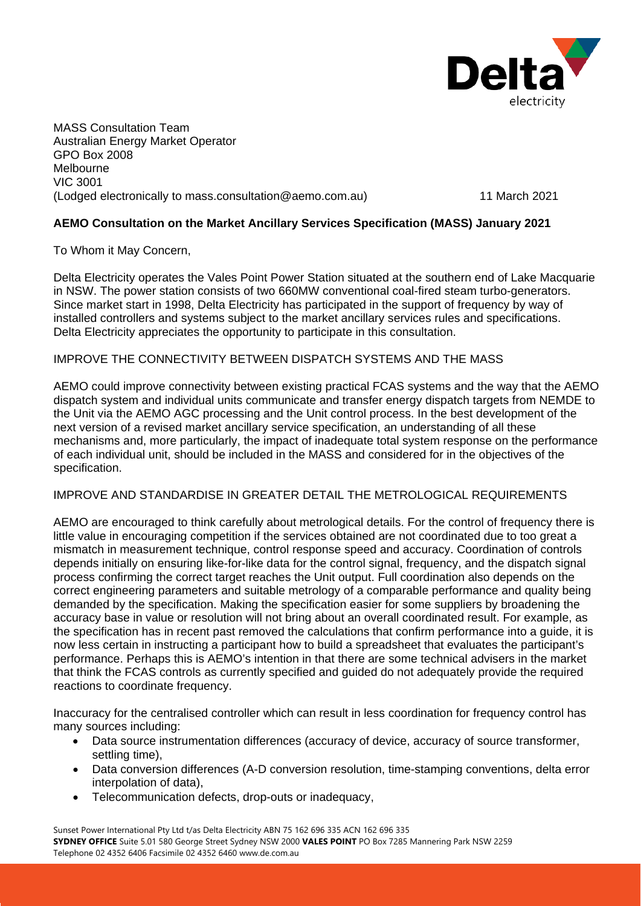

MASS Consultation Team Australian Energy Market Operator GPO Box 2008 Melbourne VIC 3001 (Lodged electronically to mass.consultation@aemo.com.au) 11 March 2021

# **AEMO Consultation on the Market Ancillary Services Specification (MASS) January 2021**

To Whom it May Concern,

Delta Electricity operates the Vales Point Power Station situated at the southern end of Lake Macquarie in NSW. The power station consists of two 660MW conventional coal-fired steam turbo-generators. Since market start in 1998, Delta Electricity has participated in the support of frequency by way of installed controllers and systems subject to the market ancillary services rules and specifications. Delta Electricity appreciates the opportunity to participate in this consultation.

## IMPROVE THE CONNECTIVITY BETWEEN DISPATCH SYSTEMS AND THE MASS

AEMO could improve connectivity between existing practical FCAS systems and the way that the AEMO dispatch system and individual units communicate and transfer energy dispatch targets from NEMDE to the Unit via the AEMO AGC processing and the Unit control process. In the best development of the next version of a revised market ancillary service specification, an understanding of all these mechanisms and, more particularly, the impact of inadequate total system response on the performance of each individual unit, should be included in the MASS and considered for in the objectives of the specification.

## IMPROVE AND STANDARDISE IN GREATER DETAIL THE METROLOGICAL REQUIREMENTS

AEMO are encouraged to think carefully about metrological details. For the control of frequency there is little value in encouraging competition if the services obtained are not coordinated due to too great a mismatch in measurement technique, control response speed and accuracy. Coordination of controls depends initially on ensuring like-for-like data for the control signal, frequency, and the dispatch signal process confirming the correct target reaches the Unit output. Full coordination also depends on the correct engineering parameters and suitable metrology of a comparable performance and quality being demanded by the specification. Making the specification easier for some suppliers by broadening the accuracy base in value or resolution will not bring about an overall coordinated result. For example, as the specification has in recent past removed the calculations that confirm performance into a guide, it is now less certain in instructing a participant how to build a spreadsheet that evaluates the participant's performance. Perhaps this is AEMO's intention in that there are some technical advisers in the market that think the FCAS controls as currently specified and guided do not adequately provide the required reactions to coordinate frequency.

Inaccuracy for the centralised controller which can result in less coordination for frequency control has many sources including:

- Data source instrumentation differences (accuracy of device, accuracy of source transformer, settling time).
- Data conversion differences (A-D conversion resolution, time-stamping conventions, delta error interpolation of data),
- Telecommunication defects, drop-outs or inadequacy,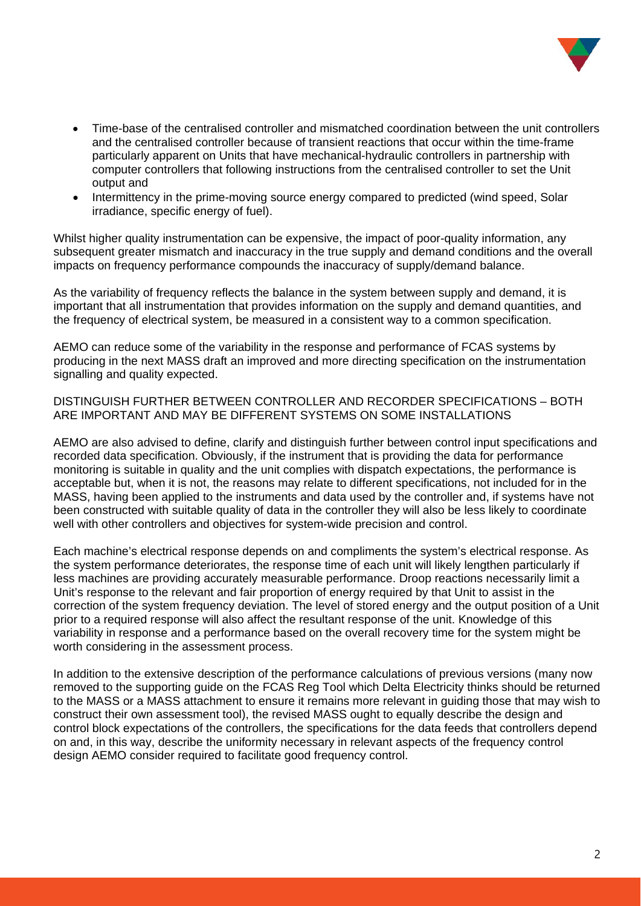

- Time-base of the centralised controller and mismatched coordination between the unit controllers and the centralised controller because of transient reactions that occur within the time-frame particularly apparent on Units that have mechanical-hydraulic controllers in partnership with computer controllers that following instructions from the centralised controller to set the Unit output and
- Intermittency in the prime-moving source energy compared to predicted (wind speed, Solar irradiance, specific energy of fuel).

Whilst higher quality instrumentation can be expensive, the impact of poor-quality information, any subsequent greater mismatch and inaccuracy in the true supply and demand conditions and the overall impacts on frequency performance compounds the inaccuracy of supply/demand balance.

As the variability of frequency reflects the balance in the system between supply and demand, it is important that all instrumentation that provides information on the supply and demand quantities, and the frequency of electrical system, be measured in a consistent way to a common specification.

AEMO can reduce some of the variability in the response and performance of FCAS systems by producing in the next MASS draft an improved and more directing specification on the instrumentation signalling and quality expected.

DISTINGUISH FURTHER BETWEEN CONTROLLER AND RECORDER SPECIFICATIONS – BOTH ARE IMPORTANT AND MAY BE DIFFERENT SYSTEMS ON SOME INSTALLATIONS

AEMO are also advised to define, clarify and distinguish further between control input specifications and recorded data specification. Obviously, if the instrument that is providing the data for performance monitoring is suitable in quality and the unit complies with dispatch expectations, the performance is acceptable but, when it is not, the reasons may relate to different specifications, not included for in the MASS, having been applied to the instruments and data used by the controller and, if systems have not been constructed with suitable quality of data in the controller they will also be less likely to coordinate well with other controllers and objectives for system-wide precision and control.

Each machine's electrical response depends on and compliments the system's electrical response. As the system performance deteriorates, the response time of each unit will likely lengthen particularly if less machines are providing accurately measurable performance. Droop reactions necessarily limit a Unit's response to the relevant and fair proportion of energy required by that Unit to assist in the correction of the system frequency deviation. The level of stored energy and the output position of a Unit prior to a required response will also affect the resultant response of the unit. Knowledge of this variability in response and a performance based on the overall recovery time for the system might be worth considering in the assessment process.

In addition to the extensive description of the performance calculations of previous versions (many now removed to the supporting guide on the FCAS Reg Tool which Delta Electricity thinks should be returned to the MASS or a MASS attachment to ensure it remains more relevant in guiding those that may wish to construct their own assessment tool), the revised MASS ought to equally describe the design and control block expectations of the controllers, the specifications for the data feeds that controllers depend on and, in this way, describe the uniformity necessary in relevant aspects of the frequency control design AEMO consider required to facilitate good frequency control.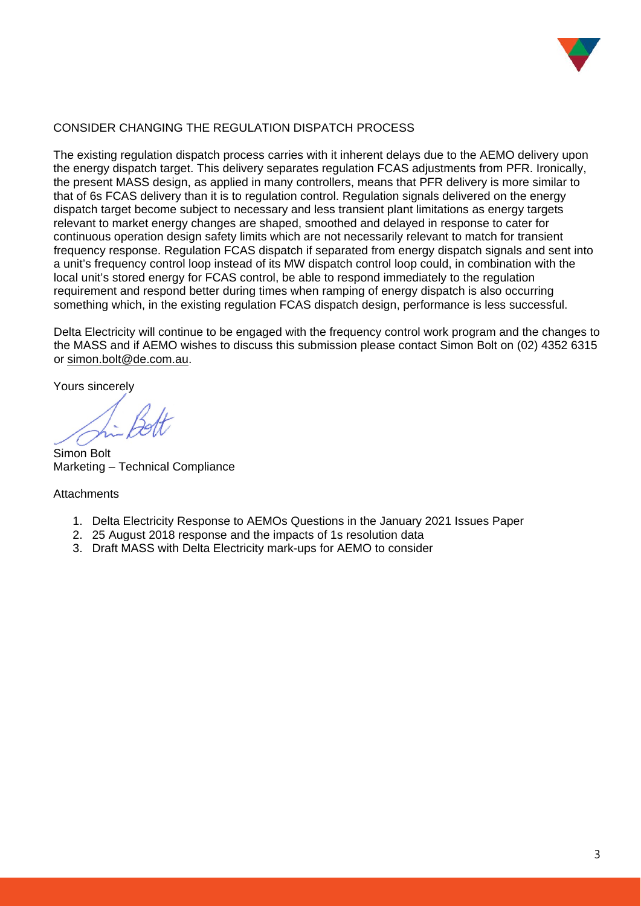

## CONSIDER CHANGING THE REGULATION DISPATCH PROCESS

The existing regulation dispatch process carries with it inherent delays due to the AEMO delivery upon the energy dispatch target. This delivery separates regulation FCAS adjustments from PFR. Ironically, the present MASS design, as applied in many controllers, means that PFR delivery is more similar to that of 6s FCAS delivery than it is to regulation control. Regulation signals delivered on the energy dispatch target become subject to necessary and less transient plant limitations as energy targets relevant to market energy changes are shaped, smoothed and delayed in response to cater for continuous operation design safety limits which are not necessarily relevant to match for transient frequency response. Regulation FCAS dispatch if separated from energy dispatch signals and sent into a unit's frequency control loop instead of its MW dispatch control loop could, in combination with the local unit's stored energy for FCAS control, be able to respond immediately to the regulation requirement and respond better during times when ramping of energy dispatch is also occurring something which, in the existing regulation FCAS dispatch design, performance is less successful.

Delta Electricity will continue to be engaged with the frequency control work program and the changes to the MASS and if AEMO wishes to discuss this submission please contact Simon Bolt on (02) 4352 6315 or [simon.bolt@de.com.au.](mailto:simon.bolt@de.com.au)

Yours sincerely

Simon Bolt Marketing – Technical Compliance

#### **Attachments**

- 1. Delta Electricity Response to AEMOs Questions in the January 2021 Issues Paper
- 2. 25 August 2018 response and the impacts of 1s resolution data
- 3. Draft MASS with Delta Electricity mark-ups for AEMO to consider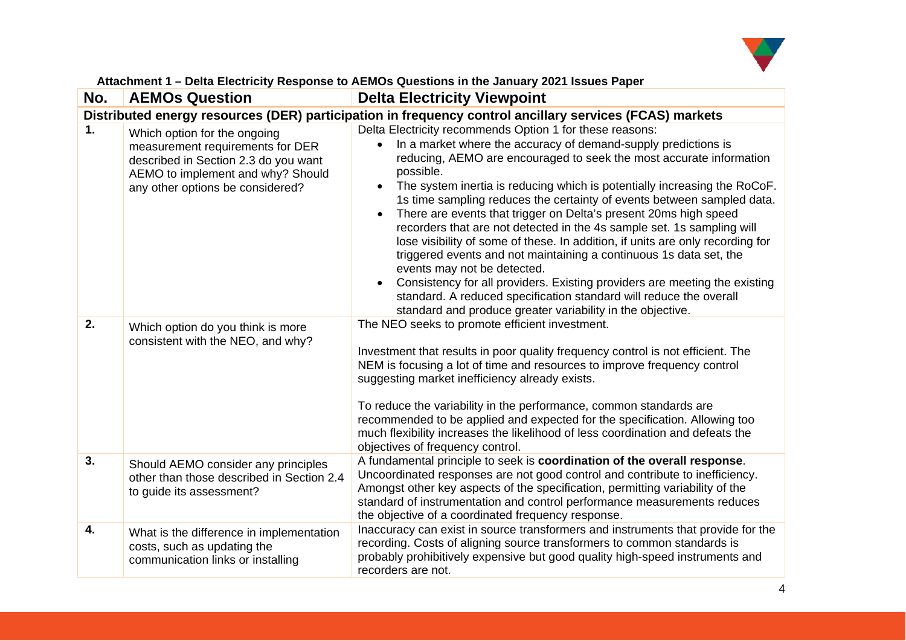

| Attachment 1 - Delta Electricity Response to AEMOs Questions in the January 2021 Issues Paper |
|-----------------------------------------------------------------------------------------------|
|-----------------------------------------------------------------------------------------------|

| No. | <b>AEMOs Question</b>                                                                                                                                                             | <b>Delta Electricity Viewpoint</b>                                                                                                                                                                                                                                                                                                                                                                                                                                                                                                                                                                                                                                                                                                                                                                                                                                                                                           |  |
|-----|-----------------------------------------------------------------------------------------------------------------------------------------------------------------------------------|------------------------------------------------------------------------------------------------------------------------------------------------------------------------------------------------------------------------------------------------------------------------------------------------------------------------------------------------------------------------------------------------------------------------------------------------------------------------------------------------------------------------------------------------------------------------------------------------------------------------------------------------------------------------------------------------------------------------------------------------------------------------------------------------------------------------------------------------------------------------------------------------------------------------------|--|
|     | Distributed energy resources (DER) participation in frequency control ancillary services (FCAS) markets                                                                           |                                                                                                                                                                                                                                                                                                                                                                                                                                                                                                                                                                                                                                                                                                                                                                                                                                                                                                                              |  |
| 1.  | Which option for the ongoing<br>measurement requirements for DER<br>described in Section 2.3 do you want<br>AEMO to implement and why? Should<br>any other options be considered? | Delta Electricity recommends Option 1 for these reasons:<br>In a market where the accuracy of demand-supply predictions is<br>reducing, AEMO are encouraged to seek the most accurate information<br>possible.<br>The system inertia is reducing which is potentially increasing the RoCoF.<br>1s time sampling reduces the certainty of events between sampled data.<br>There are events that trigger on Delta's present 20ms high speed<br>recorders that are not detected in the 4s sample set. 1s sampling will<br>lose visibility of some of these. In addition, if units are only recording for<br>triggered events and not maintaining a continuous 1s data set, the<br>events may not be detected.<br>Consistency for all providers. Existing providers are meeting the existing<br>standard. A reduced specification standard will reduce the overall<br>standard and produce greater variability in the objective. |  |
| 2.  | Which option do you think is more<br>consistent with the NEO, and why?                                                                                                            | The NEO seeks to promote efficient investment.<br>Investment that results in poor quality frequency control is not efficient. The<br>NEM is focusing a lot of time and resources to improve frequency control<br>suggesting market inefficiency already exists.<br>To reduce the variability in the performance, common standards are<br>recommended to be applied and expected for the specification. Allowing too<br>much flexibility increases the likelihood of less coordination and defeats the<br>objectives of frequency control.                                                                                                                                                                                                                                                                                                                                                                                    |  |
| 3.  | Should AEMO consider any principles<br>other than those described in Section 2.4<br>to guide its assessment?                                                                      | A fundamental principle to seek is coordination of the overall response.<br>Uncoordinated responses are not good control and contribute to inefficiency.<br>Amongst other key aspects of the specification, permitting variability of the<br>standard of instrumentation and control performance measurements reduces<br>the objective of a coordinated frequency response.                                                                                                                                                                                                                                                                                                                                                                                                                                                                                                                                                  |  |
| 4.  | What is the difference in implementation<br>costs, such as updating the<br>communication links or installing                                                                      | Inaccuracy can exist in source transformers and instruments that provide for the<br>recording. Costs of aligning source transformers to common standards is<br>probably prohibitively expensive but good quality high-speed instruments and<br>recorders are not.                                                                                                                                                                                                                                                                                                                                                                                                                                                                                                                                                                                                                                                            |  |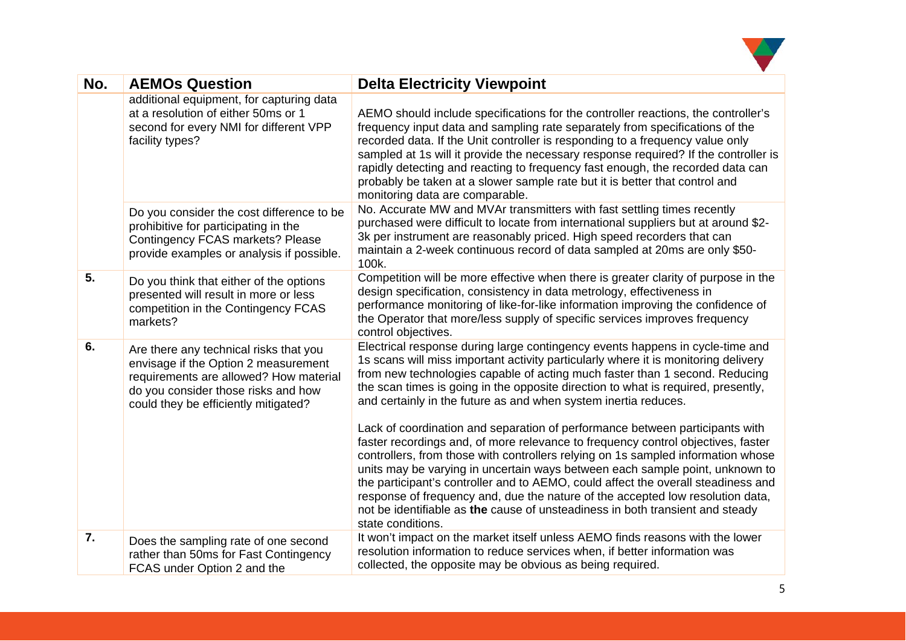

| No. | <b>AEMOs Question</b>                                                                                                                                                                                   | <b>Delta Electricity Viewpoint</b>                                                                                                                                                                                                                                                                                                                                                                                                                                                                                                                                                                                |
|-----|---------------------------------------------------------------------------------------------------------------------------------------------------------------------------------------------------------|-------------------------------------------------------------------------------------------------------------------------------------------------------------------------------------------------------------------------------------------------------------------------------------------------------------------------------------------------------------------------------------------------------------------------------------------------------------------------------------------------------------------------------------------------------------------------------------------------------------------|
|     | additional equipment, for capturing data<br>at a resolution of either 50ms or 1<br>second for every NMI for different VPP<br>facility types?                                                            | AEMO should include specifications for the controller reactions, the controller's<br>frequency input data and sampling rate separately from specifications of the<br>recorded data. If the Unit controller is responding to a frequency value only<br>sampled at 1s will it provide the necessary response required? If the controller is<br>rapidly detecting and reacting to frequency fast enough, the recorded data can<br>probably be taken at a slower sample rate but it is better that control and<br>monitoring data are comparable.                                                                     |
|     | Do you consider the cost difference to be<br>prohibitive for participating in the<br>Contingency FCAS markets? Please<br>provide examples or analysis if possible.                                      | No. Accurate MW and MVAr transmitters with fast settling times recently<br>purchased were difficult to locate from international suppliers but at around \$2-<br>3k per instrument are reasonably priced. High speed recorders that can<br>maintain a 2-week continuous record of data sampled at 20ms are only \$50-<br>100k.                                                                                                                                                                                                                                                                                    |
| 5.  | Do you think that either of the options<br>presented will result in more or less<br>competition in the Contingency FCAS<br>markets?                                                                     | Competition will be more effective when there is greater clarity of purpose in the<br>design specification, consistency in data metrology, effectiveness in<br>performance monitoring of like-for-like information improving the confidence of<br>the Operator that more/less supply of specific services improves frequency<br>control objectives.                                                                                                                                                                                                                                                               |
| 6.  | Are there any technical risks that you<br>envisage if the Option 2 measurement<br>requirements are allowed? How material<br>do you consider those risks and how<br>could they be efficiently mitigated? | Electrical response during large contingency events happens in cycle-time and<br>1s scans will miss important activity particularly where it is monitoring delivery<br>from new technologies capable of acting much faster than 1 second. Reducing<br>the scan times is going in the opposite direction to what is required, presently,<br>and certainly in the future as and when system inertia reduces.                                                                                                                                                                                                        |
|     |                                                                                                                                                                                                         | Lack of coordination and separation of performance between participants with<br>faster recordings and, of more relevance to frequency control objectives, faster<br>controllers, from those with controllers relying on 1s sampled information whose<br>units may be varying in uncertain ways between each sample point, unknown to<br>the participant's controller and to AEMO, could affect the overall steadiness and<br>response of frequency and, due the nature of the accepted low resolution data,<br>not be identifiable as the cause of unsteadiness in both transient and steady<br>state conditions. |
| 7.  | Does the sampling rate of one second<br>rather than 50ms for Fast Contingency<br>FCAS under Option 2 and the                                                                                            | It won't impact on the market itself unless AEMO finds reasons with the lower<br>resolution information to reduce services when, if better information was<br>collected, the opposite may be obvious as being required.                                                                                                                                                                                                                                                                                                                                                                                           |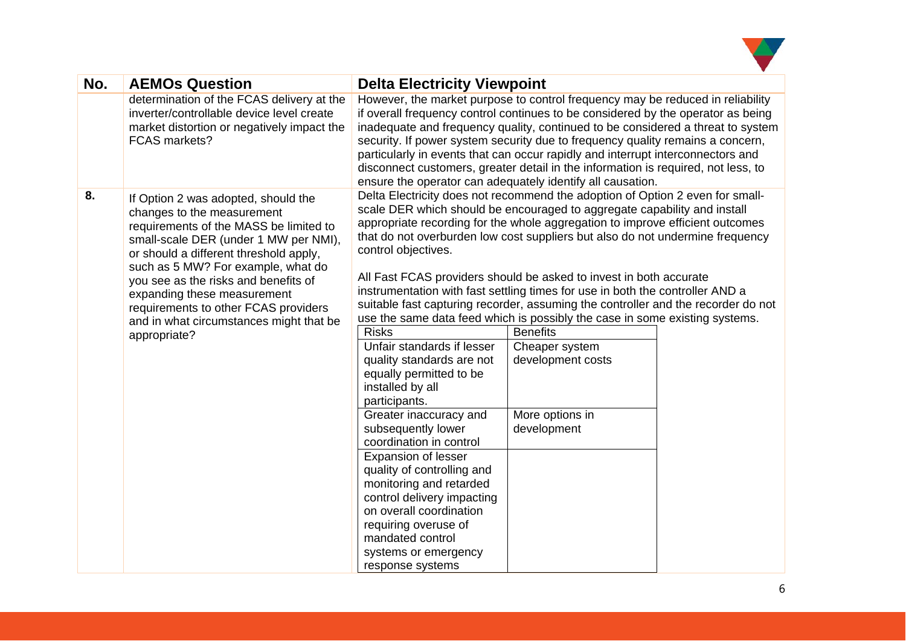

| No. | <b>AEMOs Question</b>                                                                                                                                                                                                                                                                                                                                                                                          | <b>Delta Electricity Viewpoint</b>                                                                                                                                                                                                                                                                                                                                                                                                                                                |                                                                                                                                                                                                                                                                                                                                                                                                                                                                                                                                                                                                                                                                                                                                                    |  |
|-----|----------------------------------------------------------------------------------------------------------------------------------------------------------------------------------------------------------------------------------------------------------------------------------------------------------------------------------------------------------------------------------------------------------------|-----------------------------------------------------------------------------------------------------------------------------------------------------------------------------------------------------------------------------------------------------------------------------------------------------------------------------------------------------------------------------------------------------------------------------------------------------------------------------------|----------------------------------------------------------------------------------------------------------------------------------------------------------------------------------------------------------------------------------------------------------------------------------------------------------------------------------------------------------------------------------------------------------------------------------------------------------------------------------------------------------------------------------------------------------------------------------------------------------------------------------------------------------------------------------------------------------------------------------------------------|--|
|     | determination of the FCAS delivery at the<br>inverter/controllable device level create<br>market distortion or negatively impact the<br><b>FCAS markets?</b>                                                                                                                                                                                                                                                   |                                                                                                                                                                                                                                                                                                                                                                                                                                                                                   | However, the market purpose to control frequency may be reduced in reliability<br>if overall frequency control continues to be considered by the operator as being<br>inadequate and frequency quality, continued to be considered a threat to system<br>security. If power system security due to frequency quality remains a concern,<br>particularly in events that can occur rapidly and interrupt interconnectors and<br>disconnect customers, greater detail in the information is required, not less, to<br>ensure the operator can adequately identify all causation.                                                                                                                                                                      |  |
| 8.  | If Option 2 was adopted, should the<br>changes to the measurement<br>requirements of the MASS be limited to<br>small-scale DER (under 1 MW per NMI),<br>or should a different threshold apply,<br>such as 5 MW? For example, what do<br>you see as the risks and benefits of<br>expanding these measurement<br>requirements to other FCAS providers<br>and in what circumstances might that be<br>appropriate? | control objectives.<br><b>Risks</b><br>Unfair standards if lesser<br>quality standards are not<br>equally permitted to be<br>installed by all<br>participants.<br>Greater inaccuracy and<br>subsequently lower<br>coordination in control<br><b>Expansion of lesser</b><br>quality of controlling and<br>monitoring and retarded<br>control delivery impacting<br>on overall coordination<br>requiring overuse of<br>mandated control<br>systems or emergency<br>response systems | Delta Electricity does not recommend the adoption of Option 2 even for small-<br>scale DER which should be encouraged to aggregate capability and install<br>appropriate recording for the whole aggregation to improve efficient outcomes<br>that do not overburden low cost suppliers but also do not undermine frequency<br>All Fast FCAS providers should be asked to invest in both accurate<br>instrumentation with fast settling times for use in both the controller AND a<br>suitable fast capturing recorder, assuming the controller and the recorder do not<br>use the same data feed which is possibly the case in some existing systems.<br><b>Benefits</b><br>Cheaper system<br>development costs<br>More options in<br>development |  |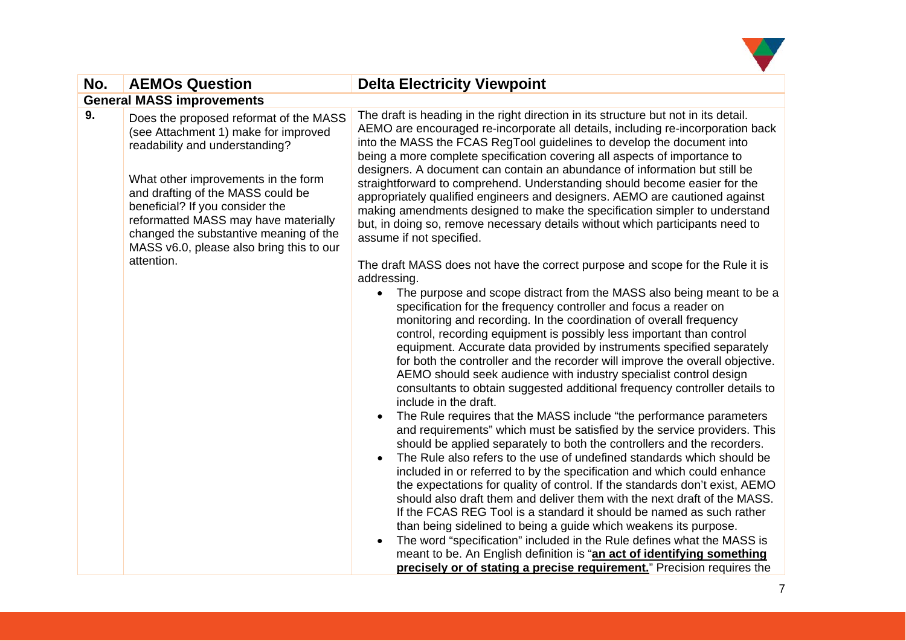

| No. | <b>AEMOs Question</b>                                                                                                                                                                                                                                                                                                                                                       | <b>Delta Electricity Viewpoint</b>                                                                                                                                                                                                                                                                                                                                                                                                                                                                                                                                                                                                                                                                                                                                                                                                                                                                                                                                                                                                                                                                                                                                                                                                                                                                                                                                                                                                                                                                                                                                                                                                                                                                                                                                                                                                                                                                                                                                                                                                                                                                                                                                                                                                                                                                                                                                                                                                       |  |
|-----|-----------------------------------------------------------------------------------------------------------------------------------------------------------------------------------------------------------------------------------------------------------------------------------------------------------------------------------------------------------------------------|------------------------------------------------------------------------------------------------------------------------------------------------------------------------------------------------------------------------------------------------------------------------------------------------------------------------------------------------------------------------------------------------------------------------------------------------------------------------------------------------------------------------------------------------------------------------------------------------------------------------------------------------------------------------------------------------------------------------------------------------------------------------------------------------------------------------------------------------------------------------------------------------------------------------------------------------------------------------------------------------------------------------------------------------------------------------------------------------------------------------------------------------------------------------------------------------------------------------------------------------------------------------------------------------------------------------------------------------------------------------------------------------------------------------------------------------------------------------------------------------------------------------------------------------------------------------------------------------------------------------------------------------------------------------------------------------------------------------------------------------------------------------------------------------------------------------------------------------------------------------------------------------------------------------------------------------------------------------------------------------------------------------------------------------------------------------------------------------------------------------------------------------------------------------------------------------------------------------------------------------------------------------------------------------------------------------------------------------------------------------------------------------------------------------------------------|--|
|     | <b>General MASS improvements</b>                                                                                                                                                                                                                                                                                                                                            |                                                                                                                                                                                                                                                                                                                                                                                                                                                                                                                                                                                                                                                                                                                                                                                                                                                                                                                                                                                                                                                                                                                                                                                                                                                                                                                                                                                                                                                                                                                                                                                                                                                                                                                                                                                                                                                                                                                                                                                                                                                                                                                                                                                                                                                                                                                                                                                                                                          |  |
| 9.  | Does the proposed reformat of the MASS<br>(see Attachment 1) make for improved<br>readability and understanding?<br>What other improvements in the form<br>and drafting of the MASS could be<br>beneficial? If you consider the<br>reformatted MASS may have materially<br>changed the substantive meaning of the<br>MASS v6.0, please also bring this to our<br>attention. | The draft is heading in the right direction in its structure but not in its detail.<br>AEMO are encouraged re-incorporate all details, including re-incorporation back<br>into the MASS the FCAS RegTool guidelines to develop the document into<br>being a more complete specification covering all aspects of importance to<br>designers. A document can contain an abundance of information but still be<br>straightforward to comprehend. Understanding should become easier for the<br>appropriately qualified engineers and designers. AEMO are cautioned against<br>making amendments designed to make the specification simpler to understand<br>but, in doing so, remove necessary details without which participants need to<br>assume if not specified.<br>The draft MASS does not have the correct purpose and scope for the Rule it is<br>addressing.<br>The purpose and scope distract from the MASS also being meant to be a<br>$\bullet$<br>specification for the frequency controller and focus a reader on<br>monitoring and recording. In the coordination of overall frequency<br>control, recording equipment is possibly less important than control<br>equipment. Accurate data provided by instruments specified separately<br>for both the controller and the recorder will improve the overall objective.<br>AEMO should seek audience with industry specialist control design<br>consultants to obtain suggested additional frequency controller details to<br>include in the draft.<br>The Rule requires that the MASS include "the performance parameters"<br>and requirements" which must be satisfied by the service providers. This<br>should be applied separately to both the controllers and the recorders.<br>The Rule also refers to the use of undefined standards which should be<br>included in or referred to by the specification and which could enhance<br>the expectations for quality of control. If the standards don't exist, AEMO<br>should also draft them and deliver them with the next draft of the MASS.<br>If the FCAS REG Tool is a standard it should be named as such rather<br>than being sidelined to being a guide which weakens its purpose.<br>The word "specification" included in the Rule defines what the MASS is<br>meant to be. An English definition is "an act of identifying something<br>precisely or of stating a precise requirement." Precision requires the |  |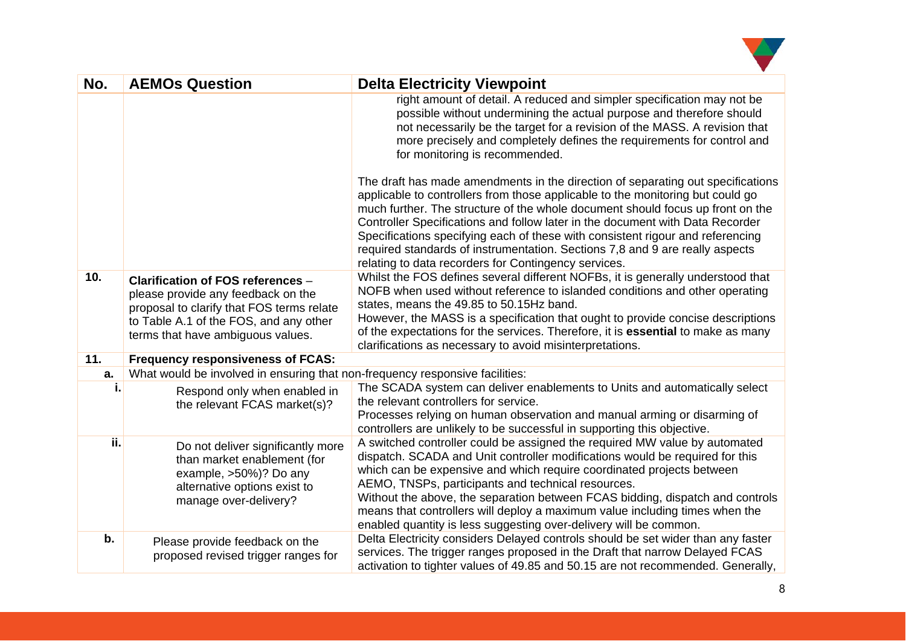

| No. | <b>AEMOs Question</b>                                                                                                                                                                               | <b>Delta Electricity Viewpoint</b>                                                                                                                                                                                                                                                                                                                                                                                                                                                                                                                             |
|-----|-----------------------------------------------------------------------------------------------------------------------------------------------------------------------------------------------------|----------------------------------------------------------------------------------------------------------------------------------------------------------------------------------------------------------------------------------------------------------------------------------------------------------------------------------------------------------------------------------------------------------------------------------------------------------------------------------------------------------------------------------------------------------------|
|     |                                                                                                                                                                                                     | right amount of detail. A reduced and simpler specification may not be<br>possible without undermining the actual purpose and therefore should<br>not necessarily be the target for a revision of the MASS. A revision that<br>more precisely and completely defines the requirements for control and<br>for monitoring is recommended.                                                                                                                                                                                                                        |
|     |                                                                                                                                                                                                     | The draft has made amendments in the direction of separating out specifications<br>applicable to controllers from those applicable to the monitoring but could go<br>much further. The structure of the whole document should focus up front on the<br>Controller Specifications and follow later in the document with Data Recorder<br>Specifications specifying each of these with consistent rigour and referencing<br>required standards of instrumentation. Sections 7,8 and 9 are really aspects<br>relating to data recorders for Contingency services. |
| 10. | Clarification of FOS references -<br>please provide any feedback on the<br>proposal to clarify that FOS terms relate<br>to Table A.1 of the FOS, and any other<br>terms that have ambiguous values. | Whilst the FOS defines several different NOFBs, it is generally understood that<br>NOFB when used without reference to islanded conditions and other operating<br>states, means the 49.85 to 50.15Hz band.<br>However, the MASS is a specification that ought to provide concise descriptions<br>of the expectations for the services. Therefore, it is <b>essential</b> to make as many<br>clarifications as necessary to avoid misinterpretations.                                                                                                           |
| 11. | <b>Frequency responsiveness of FCAS:</b>                                                                                                                                                            |                                                                                                                                                                                                                                                                                                                                                                                                                                                                                                                                                                |
| a.  | What would be involved in ensuring that non-frequency responsive facilities:                                                                                                                        |                                                                                                                                                                                                                                                                                                                                                                                                                                                                                                                                                                |
| i.  | Respond only when enabled in<br>the relevant FCAS market(s)?                                                                                                                                        | The SCADA system can deliver enablements to Units and automatically select<br>the relevant controllers for service.<br>Processes relying on human observation and manual arming or disarming of<br>controllers are unlikely to be successful in supporting this objective.                                                                                                                                                                                                                                                                                     |
| ii. | Do not deliver significantly more<br>than market enablement (for<br>example, >50%)? Do any<br>alternative options exist to<br>manage over-delivery?                                                 | A switched controller could be assigned the required MW value by automated<br>dispatch. SCADA and Unit controller modifications would be required for this<br>which can be expensive and which require coordinated projects between<br>AEMO, TNSPs, participants and technical resources.<br>Without the above, the separation between FCAS bidding, dispatch and controls<br>means that controllers will deploy a maximum value including times when the<br>enabled quantity is less suggesting over-delivery will be common.                                 |
| b.  | Please provide feedback on the<br>proposed revised trigger ranges for                                                                                                                               | Delta Electricity considers Delayed controls should be set wider than any faster<br>services. The trigger ranges proposed in the Draft that narrow Delayed FCAS<br>activation to tighter values of 49.85 and 50.15 are not recommended. Generally,                                                                                                                                                                                                                                                                                                             |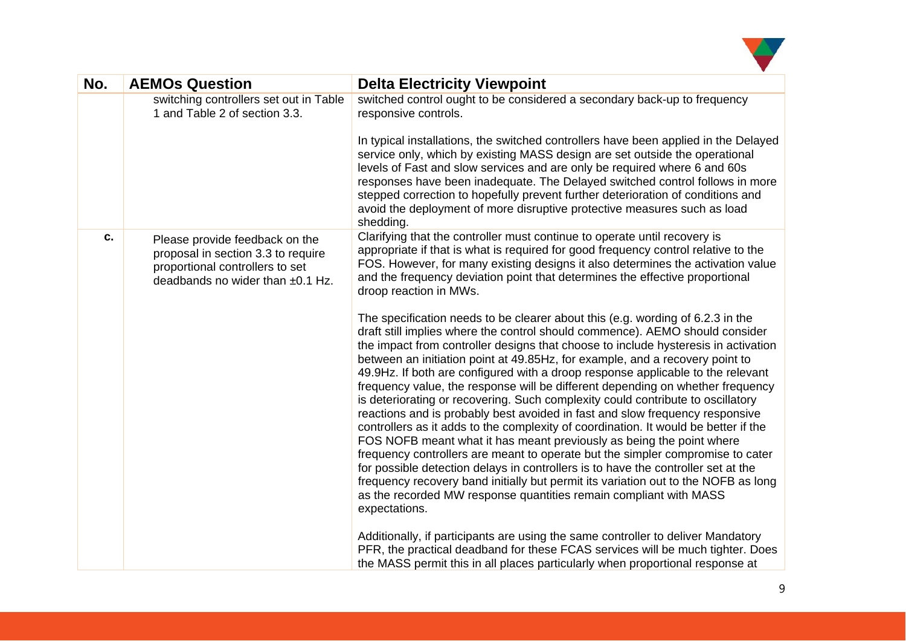

| No. | <b>AEMOs Question</b>                                                                                                                       | <b>Delta Electricity Viewpoint</b>                                                                                                                                                                                                                                                                                                                                                                                                                                                                                                                                                                                                                                                                                                                                                                                                                                                                                                                                                                                                                                                                                                                                                             |
|-----|---------------------------------------------------------------------------------------------------------------------------------------------|------------------------------------------------------------------------------------------------------------------------------------------------------------------------------------------------------------------------------------------------------------------------------------------------------------------------------------------------------------------------------------------------------------------------------------------------------------------------------------------------------------------------------------------------------------------------------------------------------------------------------------------------------------------------------------------------------------------------------------------------------------------------------------------------------------------------------------------------------------------------------------------------------------------------------------------------------------------------------------------------------------------------------------------------------------------------------------------------------------------------------------------------------------------------------------------------|
|     | switching controllers set out in Table<br>1 and Table 2 of section 3.3.                                                                     | switched control ought to be considered a secondary back-up to frequency<br>responsive controls.                                                                                                                                                                                                                                                                                                                                                                                                                                                                                                                                                                                                                                                                                                                                                                                                                                                                                                                                                                                                                                                                                               |
|     |                                                                                                                                             | In typical installations, the switched controllers have been applied in the Delayed<br>service only, which by existing MASS design are set outside the operational<br>levels of Fast and slow services and are only be required where 6 and 60s<br>responses have been inadequate. The Delayed switched control follows in more<br>stepped correction to hopefully prevent further deterioration of conditions and<br>avoid the deployment of more disruptive protective measures such as load<br>shedding.                                                                                                                                                                                                                                                                                                                                                                                                                                                                                                                                                                                                                                                                                    |
| C.  | Please provide feedback on the<br>proposal in section 3.3 to require<br>proportional controllers to set<br>deadbands no wider than ±0.1 Hz. | Clarifying that the controller must continue to operate until recovery is<br>appropriate if that is what is required for good frequency control relative to the<br>FOS. However, for many existing designs it also determines the activation value<br>and the frequency deviation point that determines the effective proportional<br>droop reaction in MWs.                                                                                                                                                                                                                                                                                                                                                                                                                                                                                                                                                                                                                                                                                                                                                                                                                                   |
|     |                                                                                                                                             | The specification needs to be clearer about this (e.g. wording of 6.2.3 in the<br>draft still implies where the control should commence). AEMO should consider<br>the impact from controller designs that choose to include hysteresis in activation<br>between an initiation point at 49.85Hz, for example, and a recovery point to<br>49.9Hz. If both are configured with a droop response applicable to the relevant<br>frequency value, the response will be different depending on whether frequency<br>is deteriorating or recovering. Such complexity could contribute to oscillatory<br>reactions and is probably best avoided in fast and slow frequency responsive<br>controllers as it adds to the complexity of coordination. It would be better if the<br>FOS NOFB meant what it has meant previously as being the point where<br>frequency controllers are meant to operate but the simpler compromise to cater<br>for possible detection delays in controllers is to have the controller set at the<br>frequency recovery band initially but permit its variation out to the NOFB as long<br>as the recorded MW response quantities remain compliant with MASS<br>expectations. |
|     |                                                                                                                                             | Additionally, if participants are using the same controller to deliver Mandatory<br>PFR, the practical deadband for these FCAS services will be much tighter. Does<br>the MASS permit this in all places particularly when proportional response at                                                                                                                                                                                                                                                                                                                                                                                                                                                                                                                                                                                                                                                                                                                                                                                                                                                                                                                                            |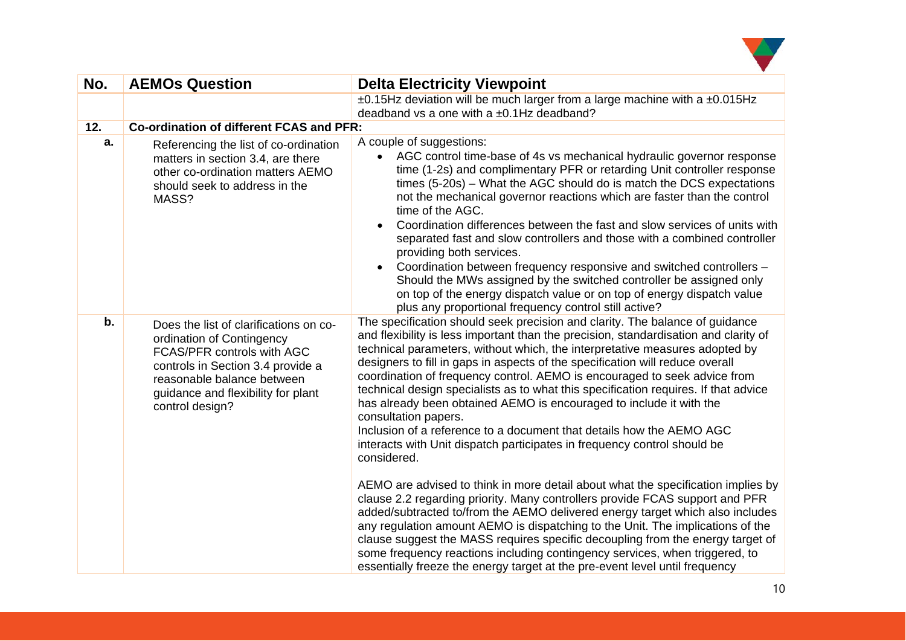

| No. | <b>AEMOs Question</b>                                                                                                                                                                                                         | <b>Delta Electricity Viewpoint</b>                                                                                                                                                                                                                                                                                                                                                                                                                                                                                                                                                                                                                                                                                                                                         |  |
|-----|-------------------------------------------------------------------------------------------------------------------------------------------------------------------------------------------------------------------------------|----------------------------------------------------------------------------------------------------------------------------------------------------------------------------------------------------------------------------------------------------------------------------------------------------------------------------------------------------------------------------------------------------------------------------------------------------------------------------------------------------------------------------------------------------------------------------------------------------------------------------------------------------------------------------------------------------------------------------------------------------------------------------|--|
|     |                                                                                                                                                                                                                               | ±0.15Hz deviation will be much larger from a large machine with a ±0.015Hz<br>deadband vs a one with a ±0.1Hz deadband?                                                                                                                                                                                                                                                                                                                                                                                                                                                                                                                                                                                                                                                    |  |
| 12. | Co-ordination of different FCAS and PFR:                                                                                                                                                                                      |                                                                                                                                                                                                                                                                                                                                                                                                                                                                                                                                                                                                                                                                                                                                                                            |  |
| a.  | Referencing the list of co-ordination<br>matters in section 3.4, are there<br>other co-ordination matters AEMO<br>should seek to address in the<br>MASS?                                                                      | A couple of suggestions:<br>• AGC control time-base of 4s vs mechanical hydraulic governor response<br>time (1-2s) and complimentary PFR or retarding Unit controller response<br>times (5-20s) – What the AGC should do is match the DCS expectations<br>not the mechanical governor reactions which are faster than the control<br>time of the AGC.<br>Coordination differences between the fast and slow services of units with<br>separated fast and slow controllers and those with a combined controller<br>providing both services.<br>Coordination between frequency responsive and switched controllers -<br>Should the MWs assigned by the switched controller be assigned only                                                                                  |  |
|     |                                                                                                                                                                                                                               | on top of the energy dispatch value or on top of energy dispatch value<br>plus any proportional frequency control still active?                                                                                                                                                                                                                                                                                                                                                                                                                                                                                                                                                                                                                                            |  |
| b.  | Does the list of clarifications on co-<br>ordination of Contingency<br>FCAS/PFR controls with AGC<br>controls in Section 3.4 provide a<br>reasonable balance between<br>guidance and flexibility for plant<br>control design? | The specification should seek precision and clarity. The balance of guidance<br>and flexibility is less important than the precision, standardisation and clarity of<br>technical parameters, without which, the interpretative measures adopted by<br>designers to fill in gaps in aspects of the specification will reduce overall<br>coordination of frequency control. AEMO is encouraged to seek advice from<br>technical design specialists as to what this specification requires. If that advice<br>has already been obtained AEMO is encouraged to include it with the<br>consultation papers.<br>Inclusion of a reference to a document that details how the AEMO AGC<br>interacts with Unit dispatch participates in frequency control should be<br>considered. |  |
|     |                                                                                                                                                                                                                               | AEMO are advised to think in more detail about what the specification implies by<br>clause 2.2 regarding priority. Many controllers provide FCAS support and PFR<br>added/subtracted to/from the AEMO delivered energy target which also includes<br>any regulation amount AEMO is dispatching to the Unit. The implications of the<br>clause suggest the MASS requires specific decoupling from the energy target of<br>some frequency reactions including contingency services, when triggered, to<br>essentially freeze the energy target at the pre-event level until frequency                                                                                                                                                                                        |  |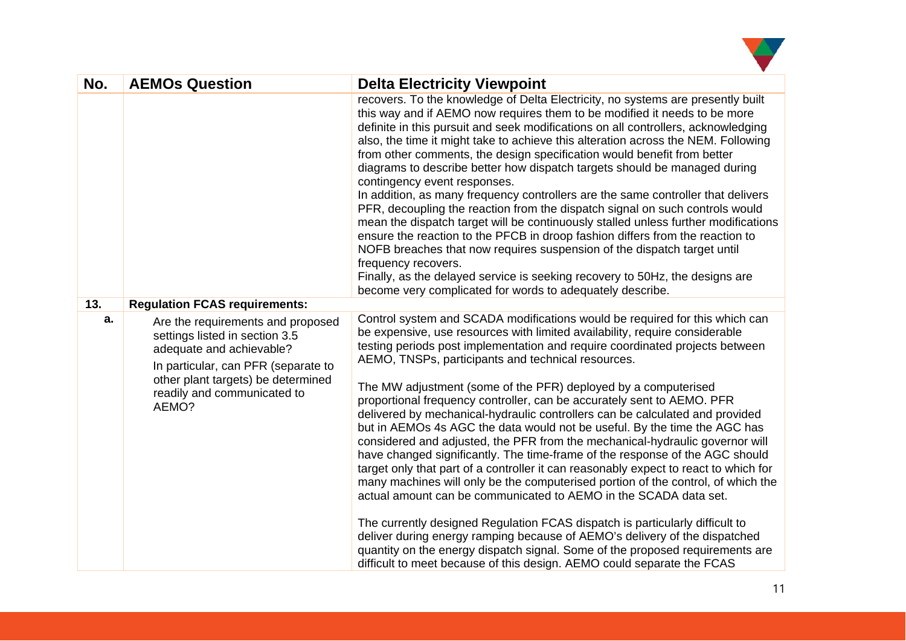

| No. | <b>AEMOs Question</b>                                                                                                                                                                                                | <b>Delta Electricity Viewpoint</b>                                                                                                                                                                                                                                                                                                                                                                                                                                                                                                                                                                                                                                                                                                                                                                                                                                                                                                                                                                                                                                                                                                                                                                                                                                                                                                                 |
|-----|----------------------------------------------------------------------------------------------------------------------------------------------------------------------------------------------------------------------|----------------------------------------------------------------------------------------------------------------------------------------------------------------------------------------------------------------------------------------------------------------------------------------------------------------------------------------------------------------------------------------------------------------------------------------------------------------------------------------------------------------------------------------------------------------------------------------------------------------------------------------------------------------------------------------------------------------------------------------------------------------------------------------------------------------------------------------------------------------------------------------------------------------------------------------------------------------------------------------------------------------------------------------------------------------------------------------------------------------------------------------------------------------------------------------------------------------------------------------------------------------------------------------------------------------------------------------------------|
|     |                                                                                                                                                                                                                      | recovers. To the knowledge of Delta Electricity, no systems are presently built<br>this way and if AEMO now requires them to be modified it needs to be more<br>definite in this pursuit and seek modifications on all controllers, acknowledging<br>also, the time it might take to achieve this alteration across the NEM. Following<br>from other comments, the design specification would benefit from better<br>diagrams to describe better how dispatch targets should be managed during<br>contingency event responses.<br>In addition, as many frequency controllers are the same controller that delivers<br>PFR, decoupling the reaction from the dispatch signal on such controls would<br>mean the dispatch target will be continuously stalled unless further modifications<br>ensure the reaction to the PFCB in droop fashion differs from the reaction to<br>NOFB breaches that now requires suspension of the dispatch target until<br>frequency recovers.<br>Finally, as the delayed service is seeking recovery to 50Hz, the designs are<br>become very complicated for words to adequately describe.                                                                                                                                                                                                                           |
| 13. | <b>Regulation FCAS requirements:</b>                                                                                                                                                                                 |                                                                                                                                                                                                                                                                                                                                                                                                                                                                                                                                                                                                                                                                                                                                                                                                                                                                                                                                                                                                                                                                                                                                                                                                                                                                                                                                                    |
| а.  | Are the requirements and proposed<br>settings listed in section 3.5<br>adequate and achievable?<br>In particular, can PFR (separate to<br>other plant targets) be determined<br>readily and communicated to<br>AEMO? | Control system and SCADA modifications would be required for this which can<br>be expensive, use resources with limited availability, require considerable<br>testing periods post implementation and require coordinated projects between<br>AEMO, TNSPs, participants and technical resources.<br>The MW adjustment (some of the PFR) deployed by a computerised<br>proportional frequency controller, can be accurately sent to AEMO. PFR<br>delivered by mechanical-hydraulic controllers can be calculated and provided<br>but in AEMOs 4s AGC the data would not be useful. By the time the AGC has<br>considered and adjusted, the PFR from the mechanical-hydraulic governor will<br>have changed significantly. The time-frame of the response of the AGC should<br>target only that part of a controller it can reasonably expect to react to which for<br>many machines will only be the computerised portion of the control, of which the<br>actual amount can be communicated to AEMO in the SCADA data set.<br>The currently designed Regulation FCAS dispatch is particularly difficult to<br>deliver during energy ramping because of AEMO's delivery of the dispatched<br>quantity on the energy dispatch signal. Some of the proposed requirements are<br>difficult to meet because of this design. AEMO could separate the FCAS |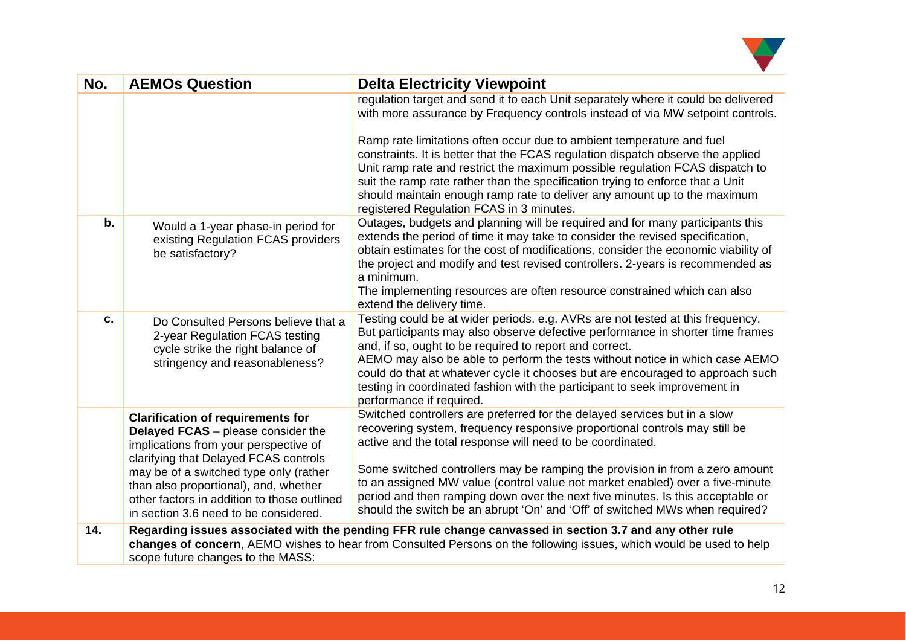

| No. | <b>AEMOs Question</b>                                                                                                                                                                                                                                                                                                                       | <b>Delta Electricity Viewpoint</b>                                                                                                                                                                                                                                                                                                                                                                                                                                                                                                                       |
|-----|---------------------------------------------------------------------------------------------------------------------------------------------------------------------------------------------------------------------------------------------------------------------------------------------------------------------------------------------|----------------------------------------------------------------------------------------------------------------------------------------------------------------------------------------------------------------------------------------------------------------------------------------------------------------------------------------------------------------------------------------------------------------------------------------------------------------------------------------------------------------------------------------------------------|
|     |                                                                                                                                                                                                                                                                                                                                             | regulation target and send it to each Unit separately where it could be delivered<br>with more assurance by Frequency controls instead of via MW setpoint controls.                                                                                                                                                                                                                                                                                                                                                                                      |
|     |                                                                                                                                                                                                                                                                                                                                             | Ramp rate limitations often occur due to ambient temperature and fuel<br>constraints. It is better that the FCAS regulation dispatch observe the applied<br>Unit ramp rate and restrict the maximum possible regulation FCAS dispatch to<br>suit the ramp rate rather than the specification trying to enforce that a Unit<br>should maintain enough ramp rate to deliver any amount up to the maximum<br>registered Regulation FCAS in 3 minutes.                                                                                                       |
| b.  | Would a 1-year phase-in period for<br>existing Regulation FCAS providers<br>be satisfactory?                                                                                                                                                                                                                                                | Outages, budgets and planning will be required and for many participants this<br>extends the period of time it may take to consider the revised specification,<br>obtain estimates for the cost of modifications, consider the economic viability of<br>the project and modify and test revised controllers. 2-years is recommended as<br>a minimum.<br>The implementing resources are often resource constrained which can also<br>extend the delivery time.                                                                                            |
| C.  | Do Consulted Persons believe that a<br>2-year Regulation FCAS testing<br>cycle strike the right balance of<br>stringency and reasonableness?                                                                                                                                                                                                | Testing could be at wider periods. e.g. AVRs are not tested at this frequency.<br>But participants may also observe defective performance in shorter time frames<br>and, if so, ought to be required to report and correct.<br>AEMO may also be able to perform the tests without notice in which case AEMO<br>could do that at whatever cycle it chooses but are encouraged to approach such<br>testing in coordinated fashion with the participant to seek improvement in<br>performance if required.                                                  |
|     | <b>Clarification of requirements for</b><br>Delayed FCAS - please consider the<br>implications from your perspective of<br>clarifying that Delayed FCAS controls<br>may be of a switched type only (rather<br>than also proportional), and, whether<br>other factors in addition to those outlined<br>in section 3.6 need to be considered. | Switched controllers are preferred for the delayed services but in a slow<br>recovering system, frequency responsive proportional controls may still be<br>active and the total response will need to be coordinated.<br>Some switched controllers may be ramping the provision in from a zero amount<br>to an assigned MW value (control value not market enabled) over a five-minute<br>period and then ramping down over the next five minutes. Is this acceptable or<br>should the switch be an abrupt 'On' and 'Off' of switched MWs when required? |
| 14. | scope future changes to the MASS:                                                                                                                                                                                                                                                                                                           | Regarding issues associated with the pending FFR rule change canvassed in section 3.7 and any other rule<br>changes of concern, AEMO wishes to hear from Consulted Persons on the following issues, which would be used to help                                                                                                                                                                                                                                                                                                                          |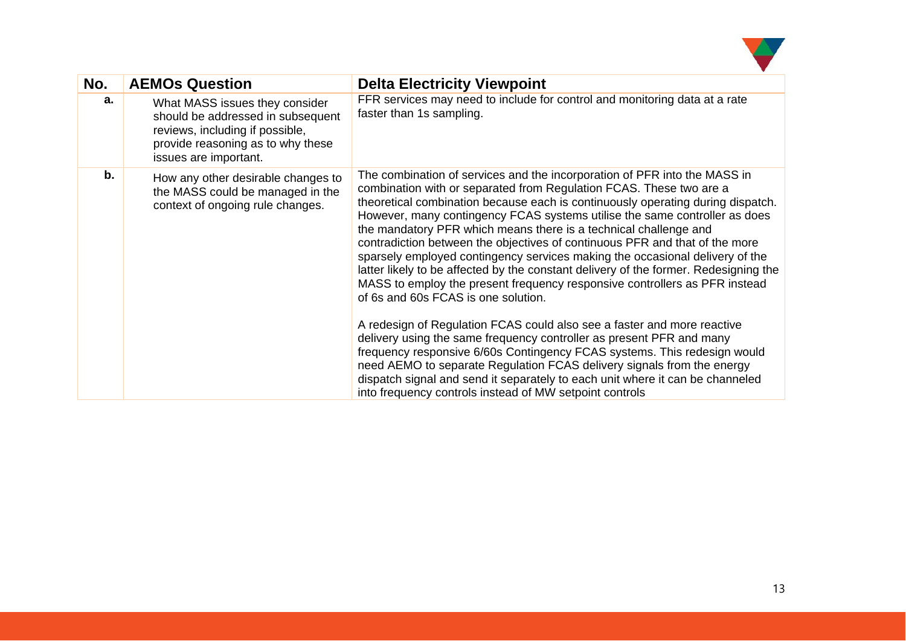

| No. | <b>AEMOs Question</b>                                                                                                                                                | <b>Delta Electricity Viewpoint</b>                                                                                                                                                                                                                                                                                                                                                                                                                                                                                                                                                                                                                                                                                                                                                                                                                                                                                                                                                                                                                                                                                                                                                                                     |
|-----|----------------------------------------------------------------------------------------------------------------------------------------------------------------------|------------------------------------------------------------------------------------------------------------------------------------------------------------------------------------------------------------------------------------------------------------------------------------------------------------------------------------------------------------------------------------------------------------------------------------------------------------------------------------------------------------------------------------------------------------------------------------------------------------------------------------------------------------------------------------------------------------------------------------------------------------------------------------------------------------------------------------------------------------------------------------------------------------------------------------------------------------------------------------------------------------------------------------------------------------------------------------------------------------------------------------------------------------------------------------------------------------------------|
| a.  | What MASS issues they consider<br>should be addressed in subsequent<br>reviews, including if possible,<br>provide reasoning as to why these<br>issues are important. | FFR services may need to include for control and monitoring data at a rate<br>faster than 1s sampling.                                                                                                                                                                                                                                                                                                                                                                                                                                                                                                                                                                                                                                                                                                                                                                                                                                                                                                                                                                                                                                                                                                                 |
| b.  | How any other desirable changes to<br>the MASS could be managed in the<br>context of ongoing rule changes.                                                           | The combination of services and the incorporation of PFR into the MASS in<br>combination with or separated from Regulation FCAS. These two are a<br>theoretical combination because each is continuously operating during dispatch.<br>However, many contingency FCAS systems utilise the same controller as does<br>the mandatory PFR which means there is a technical challenge and<br>contradiction between the objectives of continuous PFR and that of the more<br>sparsely employed contingency services making the occasional delivery of the<br>latter likely to be affected by the constant delivery of the former. Redesigning the<br>MASS to employ the present frequency responsive controllers as PFR instead<br>of 6s and 60s FCAS is one solution.<br>A redesign of Regulation FCAS could also see a faster and more reactive<br>delivery using the same frequency controller as present PFR and many<br>frequency responsive 6/60s Contingency FCAS systems. This redesign would<br>need AEMO to separate Regulation FCAS delivery signals from the energy<br>dispatch signal and send it separately to each unit where it can be channeled<br>into frequency controls instead of MW setpoint controls |